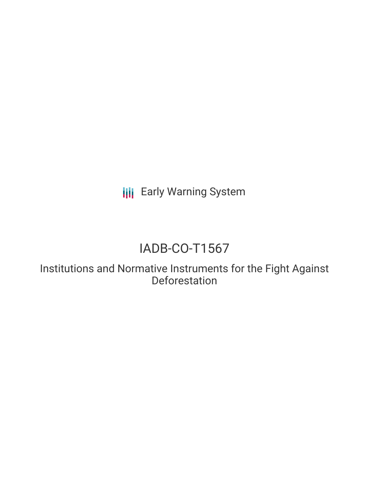**III** Early Warning System

# IADB-CO-T1567

Institutions and Normative Instruments for the Fight Against Deforestation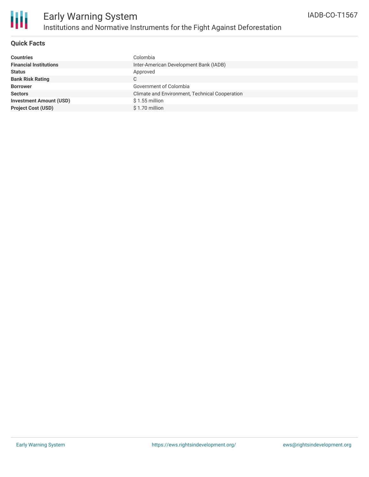

## **Quick Facts**

| Colombia                                       |
|------------------------------------------------|
| Inter-American Development Bank (IADB)         |
| Approved                                       |
| C                                              |
| Government of Colombia                         |
| Climate and Environment, Technical Cooperation |
| $$1.55$ million                                |
| \$1.70 million                                 |
|                                                |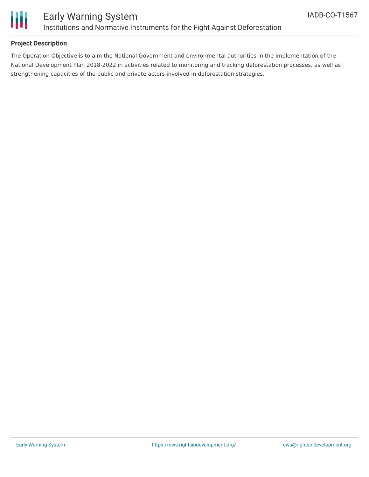

## **Project Description**

The Operation Objective is to aim the National Government and environmental authorities in the implementation of the National Development Plan 2018-2022 in activities related to monitoring and tracking deforestation processes, as well as strengthening capacities of the public and private actors involved in deforestation strategies.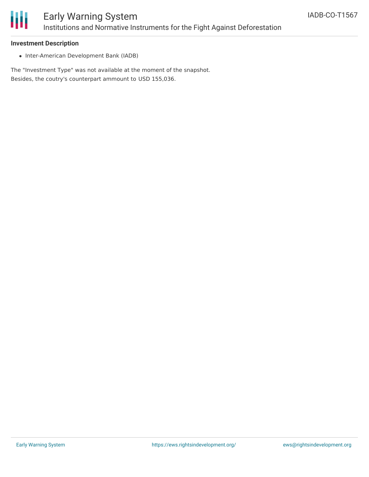

#### **Investment Description**

• Inter-American Development Bank (IADB)

The "Investment Type" was not available at the moment of the snapshot. Besides, the coutry's counterpart ammount to USD 155,036.